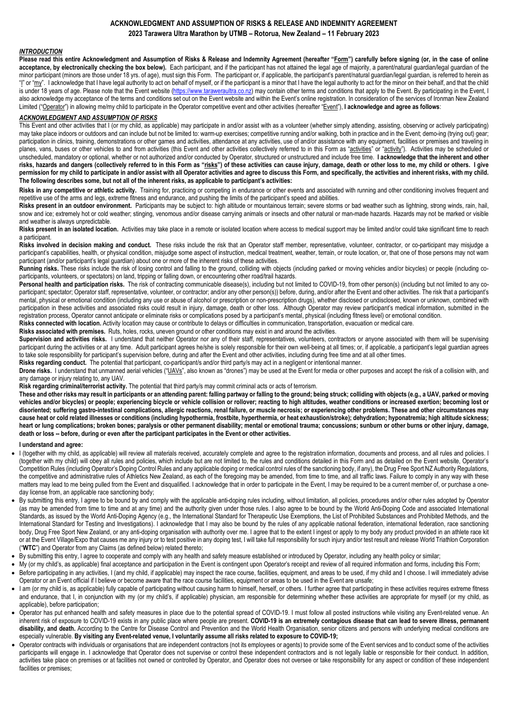## **ACKNOWLEDGMENT AND ASSUMPTION OF RISKS & RELEASE AND INDEMNITY AGREEMENT 2023 Tarawera Ultra Marathon by UTMB – Rotorua, New Zealand – 11 February 2023**

## *INTRODUCTION*

**Please read this entire Acknowledgment and Assumption of Risks & Release and Indemnity Agreement (hereafter "Form") carefully before signing (or, in the case of online**  acceptance, by electronically checking the box below). Each participant, and if the participant has not attained the legal age of majority, a parent/natural guardian/legal guardian of the minor participant (minors are those under 18 yrs. of age), must sign this Form. The participant or, if applicable, the participant's parent/natural guardian/legal guardian, is referred to herein as "I" or "my". I acknowledge that I have legal authority to act on behalf of myself, or if the participant is a minor that I have the legal authority to act for the minor on their behalf, and that the child is under 18 years of age. Please note that the Event website [\(https://www.taraweraultra.co.nz\)](https://www.taraweraultra.co.nz/) may contain other terms and conditions that apply to the Event. By participating in the Event, I also acknowledge my acceptance of the terms and conditions set out on the Event website and within the Event's online registration. In consideration of the services of Ironman New Zealand Limited ("Operator") in allowing me/my child to participate in the Operator competitive event and other activities (hereafter "Event"), **I acknowledge and agree as follows**:

## *ACKNOWLEDGMENT AND ASSUMPTION OF RISKS*

This Event and other activities that I (or my child, as applicable) may participate in and/or assist with as a volunteer (whether simply attending, assisting, observing or actively participating) may take place indoors or outdoors and can include but not be limited to: warm-up exercises; competitive running and/or walking, both in practice and in the Event; demo-ing (trying out) gear; participation in clinics, training, demonstrations or other games and activities, attendance at any activities, use of and/or assistance with any equipment, facilities or premises and traveling in planes, vans, buses or other vehicles to and from activities (this Event and other activities collectively referred to in this Form as "activities" or "activity"). Activities may be scheduled or unscheduled, mandatory or optional, whether or not authorized and/or conducted by Operator, structured or unstructured and include free time. **I acknowledge that the inherent and other**  risks, hazards and dangers (collectively referred to in this Form as "risks") of these activities can cause injury, damage, death or other loss to me, my child or others. I give **permission for my child to participate in and/or assist with all Operator activities and agree to discuss this Form, and specifically, the activities and inherent risks, with my child. The following describes some, but not all of the inherent risks, as applicable to participant's activities:**

Risks in any competitive or athletic activity. Training for, practicing or competing in endurance or other events and associated with running and other conditioning involves frequent and repetitive use of the arms and legs, extreme fitness and endurance, and pushing the limits of the participant's speed and abilities.

Risks present in an outdoor environment. Participants may be subject to: high altitude or mountainous terrain; severe storms or bad weather such as lightning, strong winds, rain, hail, snow and ice; extremely hot or cold weather; stinging, venomous and/or disease carrying animals or insects and other natural or man-made hazards. Hazards may not be marked or visible and weather is always unpredictable.

Risks present in an isolated location. Activities may take place in a remote or isolated location where access to medical support may be limited and/or could take significant time to reach a participant.

**Risks involved in decision making and conduct.** These risks include the risk that an Operator staff member, representative, volunteer, contractor, or co-participant may misjudge a participant's capabilities, health, or physical condition, misjudge some aspect of instruction, medical treatment, weather, terrain, or route location, or, that one of those persons may not warn participant (and/or participant's legal guardian) about one or more of the inherent risks of these activities.

**Running risks.** These risks include the risk of losing control and falling to the ground, colliding with objects (including parked or moving vehicles and/or bicycles) or people (including coparticipants, volunteers, or spectators) on land, tripping or falling down, or encountering other road/trail hazards.

Personal health and participation risks. The risk of contracting communicable disease(s), including but not limited to COVID-19, from other person(s) (including but not limited to any coparticipant; spectator; Operator staff, representative, volunteer, or contractor; and/or any other person(s)) before, during, and/or after the Event and other activities. The risk that a participant's mental, physical or emotional condition (including any use or abuse of alcohol or prescription or non-prescription drugs), whether disclosed or undisclosed, known or unknown, combined with participation in these activities and associated risks could result in injury, damage, death or other loss. Although Operator may review participant's medical information, submitted in the registration process, Operator cannot anticipate or eliminate risks or complications posed by a participant's mental, physical (including fitness level) or emotional condition. **Risks connected with location.** Activity location may cause or contribute to delays or difficulties in communication, transportation, evacuation or medical care.

**Risks associated with premises.** Ruts, holes, rocks, uneven ground or other conditions may exist in and around the activities.

Supervision and activities risks. I understand that neither Operator nor any of their staff, representatives, volunteers, contractors or anyone associated with them will be supervising participant during the activities or at any time. Adult participant agrees he/she is solely responsible for their own well-being at all times; or, if applicable, a participant's legal guardian agrees to take sole responsibility for participant's supervision before, during and after the Event and other activities, including during free time and at all other times.

**Risks regarding conduct.** The potential that participant, co-participant/s and/or third party/s may act in a negligent or intentional manner.

Drone risks. I understand that unmanned aerial vehicles ("UAVs", also known as "drones") may be used at the Event for media or other purposes and accept the risk of a collision with, and any damage or injury relating to, any UAV.

**Risk regarding criminal/terrorist activity.** The potential that third party/s may commit criminal acts or acts of terrorism.

**These and other risks may result in participants or an attending parent: falling partway or falling to the ground; being struck; colliding with objects (e.g., a UAV, parked or moving**  vehicles and/or bicycles) or people; experiencing bicycle or vehicle collision or rollover; reacting to high altitudes, weather conditions or increased exertion; becoming lost or **disoriented; suffering gastro-intestinal complications, allergic reactions, renal failure, or muscle necrosis; or experiencing other problems. These and other circumstances may cause heat or cold related illnesses or conditions (including hypothermia, frostbite, hyperthermia, or heat exhaustion/stroke); dehydration; hyponatremia; high altitude sickness; heart or lung complications; broken bones; paralysis or other permanent disability; mental or emotional trauma; concussions; sunburn or other burns or other injury, damage, death or loss -- before, during or even after the participant participates in the Event or other activities.**

#### **I understand and agree:**

- I (together with my child, as applicable) will review all materials received, accurately complete and agree to the registration information, documents and process, and all rules and policies. I (together with my child) will obey all rules and policies, which include but are not limited to, the rules and conditions detailed in this Form and as detailed on the Event website, Operator's Competition Rules (including Operator's Doping Control Rules and any applicable doping or medical control rules of the sanctioning body, if any), the Drug Free Sport NZ Authority Regulations, the competitive and administrative rules of Athletics New Zealand, as each of the foregoing may be amended, from time to time, and all traffic laws. Failure to comply in any way with these matters may lead to me being pulled from the Event and disqualified. I acknowledge that in order to participate in the Event, I may be required to be a current member of, or purchase a oneday license from, an applicable race sanctioning body;
- By submitting this entry, I agree to be bound by and comply with the applicable anti-doping rules including, without limitation, all policies, procedures and/or other rules adopted by Operator (as may be amended from time to time and at any time) and the authority given under those rules. I also agree to be bound by the World Anti-Doping Code and associated International Standards, as issued by the World Anti-Doping Agency (e.g., the International Standard for Therapeutic Use Exemptions, the List of Prohibited Substances and Prohibited Methods, and the International Standard for Testing and Investigations). I acknowledge that I may also be bound by the rules of any applicable national federation, international federation, race sanctioning body, Drug Free Sport New Zealand, or any anti-doping organisation with authority over me. I agree that to the extent I ingest or apply to my body any product provided in an athlete race kit or at the Event Village/Expo that causes me any injury or to test positive in any doping test, I will take full responsibility for such injury and/or test result and release World Triathlon Corporation ("**WTC**") and Operator from any Claims (as defined below) related thereto;
- By submitting this entry, I agree to cooperate and comply with any health and safety measure established or introduced by Operator, including any health policy or similar;
- My (or my child's, as applicable) final acceptance and participation in the Event is contingent upon Operator's receipt and review of all required information and forms, including this Form; Before participating in any activities, I (and my child, if applicable) may inspect the race course, facilities, equipment, and areas to be used, if my child and I choose. I will immediately advise Operator or an Event official if I believe or become aware that the race course facilities, equipment or areas to be used in the Event are unsafe;
- I am (or my child is, as applicable) fully capable of participating without causing harm to himself, herself, or others. I further agree that participating in these activities requires extreme fitness and endurance, that I, in conjunction with my (or my child's, if applicable) physician, am responsible for determining whether these activities are appropriate for myself (or my child, as applicable), before participation;
- Operator has put enhanced health and safety measures in place due to the potential spread of COVID-19. I must follow all posted instructions while visiting any Event-related venue. An inherent risk of exposure to COVID-19 exists in any public place where people are present. **COVID-19 is an extremely contagious disease that can lead to severe illness, permanent disability, and death.** According to the Centre for Disease Control and Prevention and the World Health Organisation, senior citizens and persons with underlying medical conditions are especially vulnerable. **By visiting any Event-related venue, I voluntarily assume all risks related to exposure to COVID-19;**
- Operator contracts with individuals or organisations that are independent contractors (not its employees or agents) to provide some of the Event services and to conduct some of the activities participants will engage in. I acknowledge that Operator does not supervise or control these independent contractors and is not legally liable or responsible for their conduct. In addition, activities take place on premises or at facilities not owned or controlled by Operator, and Operator does not oversee or take responsibility for any aspect or condition of these independent facilities or premises;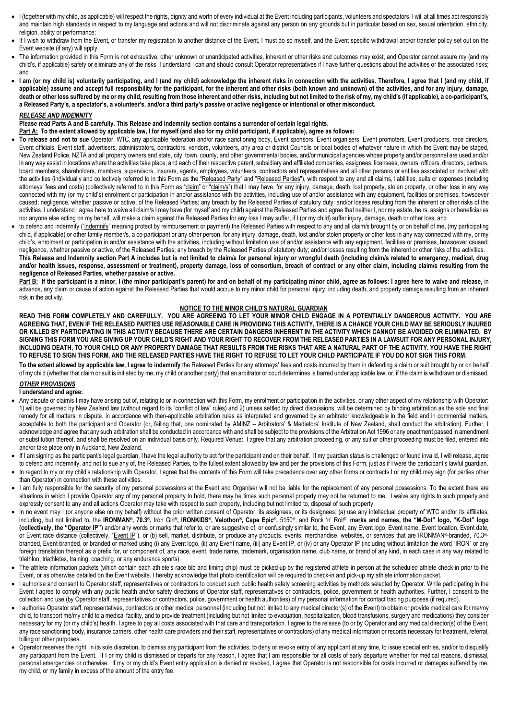- I (together with my child, as applicable) will respect the rights, dignity and worth of every individual at the Event including participants, volunteers and spectators. I will at all times act responsibly and maintain high standards in respect to my language and actions and will not discriminate against any person on any grounds but in particular based on sex, sexual orientation, ethnicity, religion, ability or performance:
- If I wish to withdraw from the Event, or transfer my registration to another distance of the Event, I must do so myself, and the Event specific withdrawal and/or transfer policy set out on the Event website (if any) will apply;
- The information provided in this Form is not exhaustive, other unknown or unanticipated activities, inherent or other risks and outcomes may exist, and Operator cannot assure my (and my child's, if applicable) safety or eliminate any of the risks. I understand I can and should consult Operator representatives if I have further questions about the activities or the associated risks; and
- **I am (or my child is) voluntarily participating, and I (and my child) acknowledge the inherent risks in connection with the activities. Therefore, I agree that I (and my child, if applicable) assume and accept full responsibility for the participant, for the inherent and other risks (both known and unknown) of the activities, and for any injury, damage,**  death or other loss suffered by me or my child, resulting from those inherent and other risks, including but not limited to the risk of my, my child's (if applicable), a co-participant's, **a Released Party's, a spectator's, a volunteer's, and/or a third party's passive or active negligence or intentional or other misconduct.**

### *RELEASE AND INDEMNITY*

**Please read Parts A and B carefully. This Release and Indemnity section contains a surrender of certain legal rights.** 

**Part A: To the extent allowed by applicable law, I for myself (and also for my child participant, if applicable), agree as follows:**

- **To release and not to sue** Operator, WTC, any applicable federation and/or race sanctioning body, Event sponsors, Event organisers, Event promoters, Event producers, race directors, Event officials, Event staff, advertisers, administrators, contractors, vendors, volunteers, any area or district Councils or local bodies of whatever nature in which the Event may be staged, New Zealand Police, NZTA and all property owners and state, city, town, county, and other governmental bodies, and/or municipal agencies whose property and/or personnel are used and/or in any way assist in locations where the activities take place, and each of their respective parent, subsidiary and affiliated companies, assignees, licensees, owners, officers, directors, partners, board members, shareholders, members, supervisors, insurers, agents, employees, volunteers, contractors and representatives and all other persons or entities associated or involved with the activities (individually and collectively referred to in this Form as the "Released Party" and "Released Parties"), with respect to any and all claims, liabilities, suits or expenses (including attorneys' fees and costs) (collectively referred to in this Form as "claim" or "claim/s") that I may have, for any injury, damage, death, lost property, stolen property, or other loss in any way connected with my (or my child's) enrolment or participation in and/or assistance with the activities, including use of and/or assistance with any equipment, facilities or premises, howsoever caused; negligence, whether passive or active, of the Released Parties; any breach by the Released Parties of statutory duty; and/or losses resulting from the inherent or other risks of the activities. I understand I agree here to waive all claim/s I may have (for myself and my child) against the Released Parties and agree that neither I, nor my estate, heirs, assigns or beneficiaries nor anyone else acting on my behalf, will make a claim against the Released Parties for any loss I may suffer, if I (or my child) suffer injury, damage, death or other loss; and
- to defend and indemnify "indemnify" meaning protect by reimbursement or payment) the Released Parties with respect to any and all claim/s brought by or on behalf of me, (my participating child, if applicable) or other family member/s, a co-participant or any other person, for any injury, damage, death, lost and/or stolen property or other loss in any way connected with my, or my child's, enrolment or participation in and/or assistance with the activities, including without limitation use of and/or assistance with any equipment, facilities or premises, howsoever caused; negligence, whether passive or active, of the Released Parties; any breach by the Released Parties of statutory duty; and/or losses resulting from the inherent or other risks of the activities. **This Release and Indemnity section Part A includes but is not limited to claim/s for personal injury or wrongful death (including claim/s related to emergency, medical, drug and/or health issues, response, assessment or treatment), property damage, loss of consortium, breach of contract or any other claim, including claim/s resulting from the negligence of Released Parties, whether passive or active.**

Part B: If the participant is a minor, I (the minor participant's parent) for and on behalf of my participating minor child, agree as follows: I agree here to waive and release, in advance, any claim or cause of action against the Released Parties that would accrue to my minor child for personal injury, including death, and property damage resulting from an inherent risk in the activity.

#### **NOTICE TO THE MINOR CHILD'S NATURAL GUARDIAN**

**READ THIS FORM COMPLETELY AND CAREFULLY. YOU ARE AGREEING TO LET YOUR MINOR CHILD ENGAGE IN A POTENTIALLY DANGEROUS ACTIVITY. YOU ARE AGREEING THAT, EVEN IF THE RELEASED PARTIES USE REASONABLE CARE IN PROVIDING THIS ACTIVITY, THERE IS A CHANCE YOUR CHILD MAY BE SERIOUSLY INJURED OR KILLED BY PARTICIPATING IN THIS ACTIVITY BECAUSE THERE ARE CERTAIN DANGERS INHERENT IN THE ACTIVITY WHICH CANNOT BE AVOIDED OR ELIMINATED. BY**  SIGNING THIS FORM YOU ARE GIVING UP YOUR CHILD'S RIGHT AND YOUR RIGHT TO RECOVER FROM THE RELEASED PARTIES IN A LAWSUIT FOR ANY PERSONAL INJURY, **INCLUDING DEATH, TO YOUR CHILD OR ANY PROPERTY DAMAGE THAT RESULTS FROM THE RISKS THAT ARE A NATURAL PART OF THE ACTIVITY. YOU HAVE THE RIGHT TO REFUSE TO SIGN THIS FORM, AND THE RELEASED PARTIES HAVE THE RIGHT TO REFUSE TO LET YOUR CHILD PARTICIPATE IF YOU DO NOT SIGN THIS FORM.** 

To the extent allowed by applicable law, I agree to indemnify the Released Parties for any attorneys' fees and costs incurred by them in defending a claim or suit brought by or on behalf of my child (whether that claim or suit is initiated by me, my child or another party) that an arbitrator or court determines is barred under applicable law, or, if the claim is withdrawn or dismissed.

# *OTHER PROVISIONS*

**I understand and agree:**

- Any dispute or claim/s I may have arising out of, relating to or in connection with this Form, my enrolment or participation in the activities, or any other aspect of my relationship with Operator: 1) will be governed by New Zealand law (without regard to its "conflict of law" rules) and 2) unless settled by direct discussions, will be determined by binding arbitration as the sole and final remedy for all matters in dispute, in accordance with then-applicable arbitration rules as interpreted and governed by an arbitrator knowledgeable in the field and in commercial matters, acceptable to both the participant and Operator (or, failing that, one nominated by AMINZ – Arbitrators' & Mediators' Institute of New Zealand, shall conduct the arbitration). Further, I acknowledge and agree that any such arbitration shall be conducted in accordance with and shall be subject to the provisions of the Arbitration Act 1996 or any enactment passed in amendment or substitution thereof, and shall be resolved on an individual basis only. Required Venue: I agree that any arbitration proceeding, or any suit or other proceeding must be filed, entered into and/or take place only in Auckland, New Zealand.
- If I am signing as the participant's legal guardian, I have the legal authority to act for the participant and on their behalf. If my guardian status is challenged or found invalid, I will release, agree to defend and indemnify, and not to sue any of, the Released Parties, to the fullest extent allowed by law and per the provisions of this Form, just as if I were the participant's lawful guardian.
- In regard to my or my child's relationship with Operator, I agree that the contents of this Form will take precedence over any other forms or contracts I or my child may sign (for parties other than Operator) in connection with these activities.
- I am fully responsible for the security of my personal possessions at the Event and Organiser will not be liable for the replacement of any personal possessions. To the extent there are situations in which I provide Operator any of my personal property to hold, there may be times such personal property may not be returned to me. I waive any rights to such property and expressly consent to any and all actions Operator may take with respect to such property, including but not limited to, disposal of such property.
- In no event may I (or anyone else on my behalf) without the prior written consent of Operator, its assignees, or its designees: (a) use any intellectual property of WTC and/or its affiliates, including, but not limited to**,** the **IRONMAN®, 70.3®,** Iron Girl**®, IRONKIDS®, Velothon®, Cape Epic®,** 5150®, and Rock 'n' Roll**® marks and names, the "M-Dot" logo, "K-Dot" logo**  (collectively, the "Operator IP") and/or any words or marks that refer to, or are suggestive of, or confusingly similar to, the Event, any Event logo, Event name, Event location, Event date, or Event race distance (collectively, "Event IP"), or (b) sell, market, distribute, or produce any products, events, merchandise, websites, or services that are IRONMAN®-branded, 70.3®branded, Event-branded, or branded or marked using (i) any Event logo, (ii) any Event name, (iii) any Event IP, or (iv) or any Operator IP (including without limitation the word "IRON" or any foreign translation thereof as a prefix for, or component of, any race, event, trade name, trademark, organisation name, club name, or brand of any kind, in each case in any way related to triathlon, triathletes, training, coaching, or any endurance sports).
- The athlete information packets (which contain each athlete's race bib and timing chip) must be picked-up by the registered athlete in person at the scheduled athlete check-in prior to the Event, or as otherwise detailed on the Event website. I hereby acknowledge that photo identification will be required to check-in and pick-up my athlete information packet.
- I authorise and consent to Operator staff, representatives or contractors to conduct such public health safety screening activities by methods selected by Operator. While participating in the Event I agree to comply with any public health and/or safety directions of Operator staff, representatives or contractors, police, government or health authorities. Further, I consent to the collection and use (by Operator staff, representatives or contractors, police, government or health authorities) of my personal information for contact tracing purposes (if required).
- I authorise Operator staff, representatives, contractors or other medical personnel (including but not limited to any medical director(s) of the Event) to obtain or provide medical care for me/my child, to transport me/my child to a medical facility, and to provide treatment (including but not limited to evacuation, hospitalization, blood transfusions, surgery and medications) they consider necessary for my (or my child's) health. I agree to pay all costs associated with that care and transportation. I agree to the release (to or by Operator and any medical director(s) of the Event, any race sanctioning body, insurance carriers, other health care providers and their staff, representatives or contractors) of any medical information or records necessary for treatment, referral, billing or other purposes.
- Operator reserves the right, in its sole discretion, to dismiss any participant from the activities, to deny or revoke entry of any applicant at any time, to issue special entries, and/or to disqualify any participant from the Event. If I or my child is dismissed or departs for any reason, I agree that I am responsible for all costs of early departure whether for medical reasons, dismissal, personal emergencies or otherwise. If my or my child's Event entry application is denied or revoked, I agree that Operator is not responsible for costs incurred or damages suffered by me, my child, or my family in excess of the amount of the entry fee.